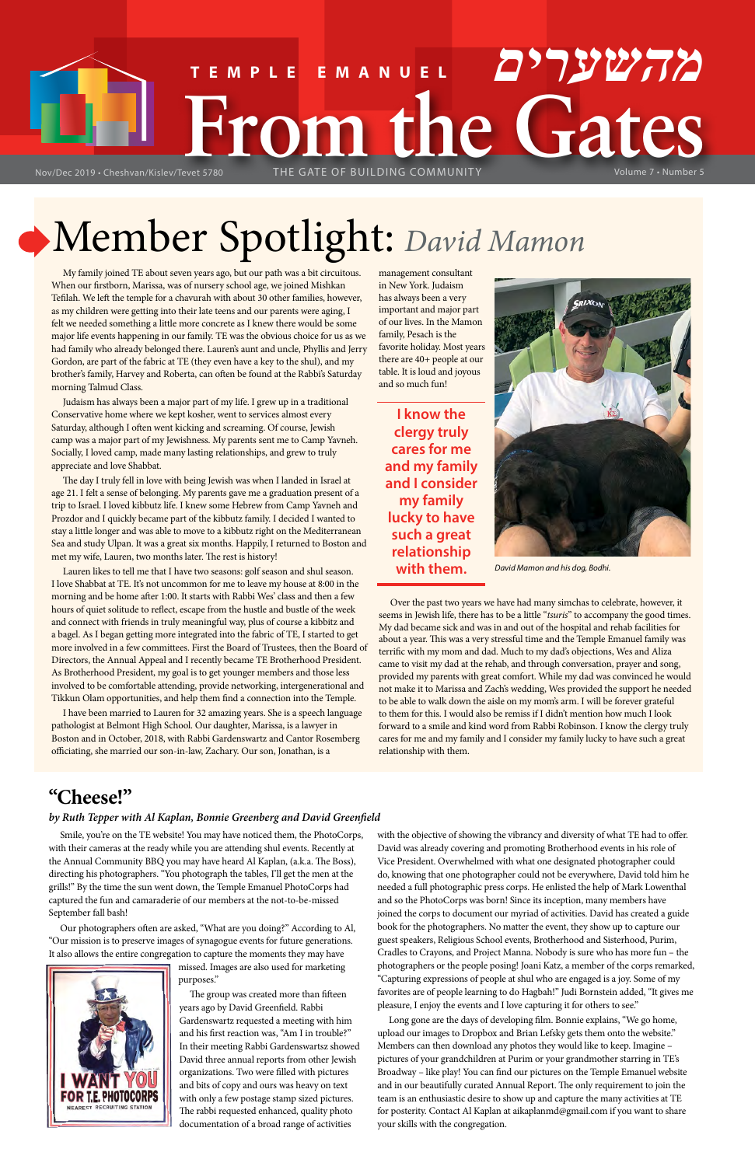# Member Spotlight: *David Mamon*

# **FRom the Gates Creshvan/Kislev/Tevet 5780** THE GATE OF BUILDING COMMUNITY Volume 7 • Number 5 **TEMPLE EMANUEL מהשערים**

My family joined TE about seven years ago, but our path was a bit circuitous. When our firstborn, Marissa, was of nursery school age, we joined Mishkan Tefilah. We left the temple for a chavurah with about 30 other families, however, as my children were getting into their late teens and our parents were aging, I felt we needed something a little more concrete as I knew there would be some major life events happening in our family. TE was the obvious choice for us as we had family who already belonged there. Lauren's aunt and uncle, Phyllis and Jerry Gordon, are part of the fabric at TE (they even have a key to the shul), and my brother's family, Harvey and Roberta, can often be found at the Rabbi's Saturday morning Talmud Class.

Judaism has always been a major part of my life. I grew up in a traditional Conservative home where we kept kosher, went to services almost every Saturday, although I often went kicking and screaming. Of course, Jewish camp was a major part of my Jewishness. My parents sent me to Camp Yavneh. Socially, I loved camp, made many lasting relationships, and grew to truly appreciate and love Shabbat.

The day I truly fell in love with being Jewish was when I landed in Israel at age 21. I felt a sense of belonging. My parents gave me a graduation present of a trip to Israel. I loved kibbutz life. I knew some Hebrew from Camp Yavneh and Prozdor and I quickly became part of the kibbutz family. I decided I wanted to stay a little longer and was able to move to a kibbutz right on the Mediterranean Sea and study Ulpan. It was a great six months. Happily, I returned to Boston and met my wife, Lauren, two months later. The rest is history!

Lauren likes to tell me that I have two seasons: golf season and shul season. I love Shabbat at TE. It's not uncommon for me to leave my house at 8:00 in the morning and be home after 1:00. It starts with Rabbi Wes' class and then a few hours of quiet solitude to reflect, escape from the hustle and bustle of the week and connect with friends in truly meaningful way, plus of course a kibbitz and a bagel. As I began getting more integrated into the fabric of TE, I started to get more involved in a few committees. First the Board of Trustees, then the Board of Directors, the Annual Appeal and I recently became TE Brotherhood President. As Brotherhood President, my goal is to get younger members and those less involved to be comfortable attending, provide networking, intergenerational and Tikkun Olam opportunities, and help them find a connection into the Temple.

I have been married to Lauren for 32 amazing years. She is a speech language pathologist at Belmont High School. Our daughter, Marissa, is a lawyer in Boston and in October, 2018, with Rabbi Gardenswartz and Cantor Rosemberg officiating, she married our son-in-law, Zachary. Our son, Jonathan, is a

management consultant in New York. Judaism has always been a very important and major part of our lives. In the Mamon family, Pesach is the favorite holiday. Most years there are 40+ people at our table. It is loud and joyous and so much fun!

Over the past two years we have had many simchas to celebrate, however, it seems in Jewish life, there has to be a little "*tsuris*" to accompany the good times. My dad became sick and was in and out of the hospital and rehab facilities for about a year. This was a very stressful time and the Temple Emanuel family was terrific with my mom and dad. Much to my dad's objections, Wes and Aliza came to visit my dad at the rehab, and through conversation, prayer and song, provided my parents with great comfort. While my dad was convinced he would not make it to Marissa and Zach's wedding, Wes provided the support he needed to be able to walk down the aisle on my mom's arm. I will be forever grateful to them for this. I would also be remiss if I didn't mention how much I look forward to a smile and kind word from Rabbi Robinson. I know the clergy truly cares for me and my family and I consider my family lucky to have such a great relationship with them.

## **"Cheese!"**

### *by Ruth Tepper with Al Kaplan, Bonnie Greenberg and David Greenfield*

Smile, you're on the TE website! You may have noticed them, the PhotoCorps, with their cameras at the ready while you are attending shul events. Recently at

the Annual Community BBQ you may have heard Al Kaplan, (a.k.a. The Boss), directing his photographers. "You photograph the tables, I'll get the men at the grills!" By the time the sun went down, the Temple Emanuel PhotoCorps had captured the fun and camaraderie of our members at the not-to-be-missed September fall bash!

Our photographers often are asked, "What are you doing?" According to Al, "Our mission is to preserve images of synagogue events for future generations. It also allows the entire congregation to capture the moments they may have



missed. Images are also used for marketing purposes."

The group was created more than fifteen years ago by David Greenfield. Rabbi Gardenswartz requested a meeting with him and his first reaction was, "Am I in trouble?" In their meeting Rabbi Gardenswartsz showed David three annual reports from other Jewish organizations. Two were filled with pictures and bits of copy and ours was heavy on text with only a few postage stamp sized pictures. The rabbi requested enhanced, quality photo documentation of a broad range of activities

with the objective of showing the vibrancy and diversity of what TE had to offer. David was already covering and promoting Brotherhood events in his role of

Vice President. Overwhelmed with what one designated photographer could do, knowing that one photographer could not be everywhere, David told him he needed a full photographic press corps. He enlisted the help of Mark Lowenthal and so the PhotoCorps was born! Since its inception, many members have joined the corps to document our myriad of activities. David has created a guide book for the photographers. No matter the event, they show up to capture our guest speakers, Religious School events, Brotherhood and Sisterhood, Purim, Cradles to Crayons, and Project Manna. Nobody is sure who has more fun – the photographers or the people posing! Joani Katz, a member of the corps remarked, "Capturing expressions of people at shul who are engaged is a joy. Some of my favorites are of people learning to do Hagbah!" Judi Bornstein added, "It gives me pleasure, I enjoy the events and I love capturing it for others to see."

Long gone are the days of developing film. Bonnie explains, "We go home, upload our images to Dropbox and Brian Lefsky gets them onto the website." Members can then download any photos they would like to keep. Imagine – pictures of your grandchildren at Purim or your grandmother starring in TE's Broadway – like play! You can find our pictures on the Temple Emanuel website and in our beautifully curated Annual Report. The only requirement to join the team is an enthusiastic desire to show up and capture the many activities at TE for posterity. Contact Al Kaplan at aikaplanmd@gmail.com if you want to share your skills with the congregation.

**I know the clergy truly cares for me and my family and I consider my family lucky to have such a great relationship** 



**with them.** *David Mamon and his dog, Bodhi.*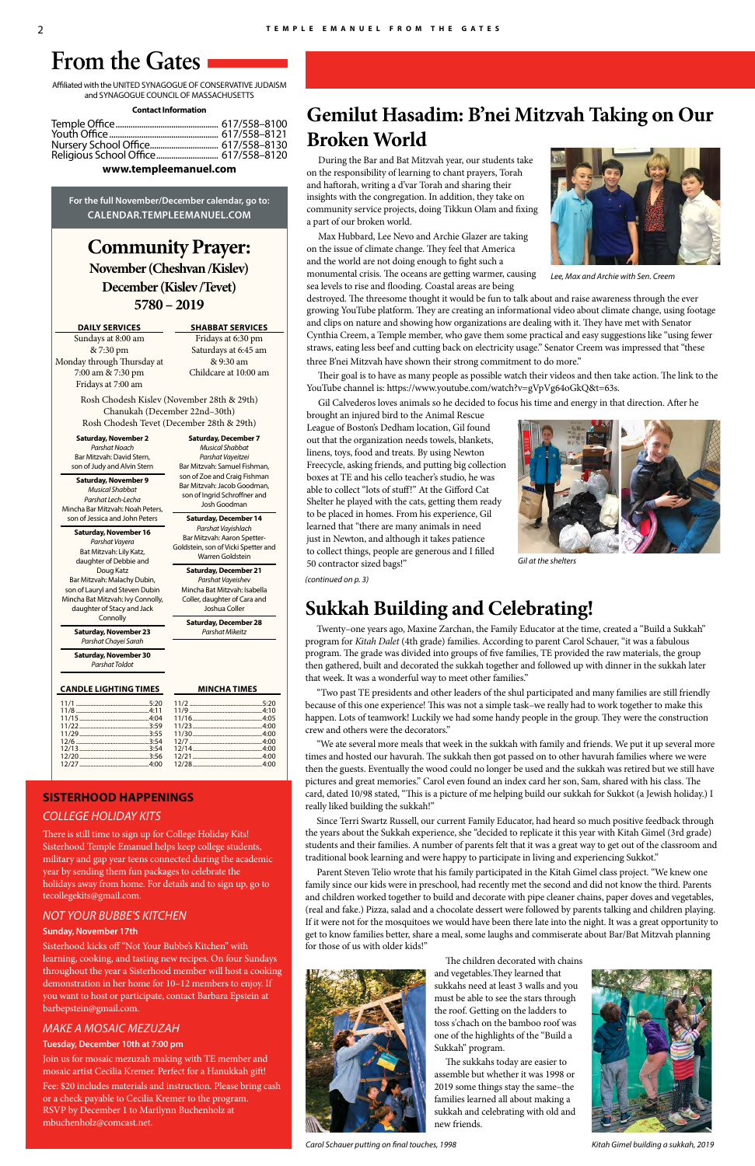**Community Prayer: November (Cheshvan /Kislev) December (Kislev /Tevet) 5780 – 2019**

### **DAILY SERVICES**

Sundays at 8:00 am & 7:30 pm Monday through Thursday at 7:00 am & 7:30 pm Fridays at 7:00 am

**SHABBAT SERVICES** Fridays at 6:30 pm Saturdays at 6:45 am & 9:30 am Childcare at 10:00 am

Rosh Chodesh Kislev (November 28th & 29th) Chanukah (December 22nd–30th) Rosh Chodesh Tevet (December 28th & 29th)

Affiliated with the UNITED SYNAGOGUE OF CONSERVATIVE JUDAISM and SYNAGOGUE COUNCIL OF MASSACHUSETTS

### **Contact Information**

| Religious School Office 617/558-8120 |  |
|--------------------------------------|--|

### **www.templeemanuel.com**

**For the full November/December calendar, go to: CALENDAR.TEMPLEEMANUEL.COM**

# **From the Gates**

**Saturday, November 16** *Parshat Vayera* Bat Mitzvah: Lily Katz, daughter of Debbie and Doug Katz Bar Mitzvah: Malachy Dubin, son of Lauryl and Steven Dubin Mincha Bat Mitzvah: Ivy Connolly, daughter of Stacy and Jack **Connolly** 

# **SISTERHOOD HAPPENINGS**

*COLLEGE HOLIDAY KITS*

There is still time to sign up for College Holiday Kits! Sisterhood Temple Emanuel helps keep college students, military and gap year teens connected during the academic year by sending them fun packages to celebrate the holidays away from home. For details and to sign up, go to tecollegekits@gmail.com.

### *NOT YOUR BUBBE'S KITCHEN*

### **Sunday, November 17th**

Sisterhood kicks off "Not Your Bubbe's Kitchen" with learning, cooking, and tasting new recipes. On four Sundays throughout the year a Sisterhood member will host a cooking demonstration in her home for 10–12 members to enjoy. If you want to host or participate, contact Barbara Epstein at barbepstein@gmail.com.

### *MAKE A MOSAIC MEZUZAH*

### **Tuesday, December 10th at 7:00 pm**

Join us for mosaic mezuzah making with TE member and mosaic artist Cecilia Kremer. Perfect for a Hanukkah gift! Fee: \$20 includes materials and instruction. Please bring cash or a check payable to Cecilia Kremer to the program. RSVP by December 1 to Marilynn Buchenholz at mbuchenholz@comcast.net.

**Saturday, November 2** *Parshat Noach* Bar Mitzvah: David Stern, son of Judy and Alvin Stern

**Saturday, November 9** *Musical Shabbat Parshat Lech-Lecha* Mincha Bar Mitzvah: Noah Peters, son of Jessica and John Peters

**Saturday, November 23** *Parshat Chayei Sarah*

**Saturday, November 30** *Parshat Toldot*

### **CANDLE LIGHTING TIMES MINCHA TIMES**

**Saturday, December 7** *Musical Shabbat Parshat Vayeitzei* Bar Mitzvah: Samuel Fishman, son of Zoe and Craig Fishman Bar Mitzvah: Jacob Goodman, son of Ingrid Schroffner and Josh Goodman **Saturday, December 14** *Parshat Vayishlach* Bar Mitzvah: Aaron Spetter-Goldstein, son of Vicki Spetter and Warren Goldstein **Saturday, December 21** *Parshat Vayeishev* Mincha Bat Mitzvah: Isabella Coller, daughter of Cara and Joshua Coller **Saturday, December 28** *Parshat Mikeitz*

# **Gemilut Hasadim: B'nei Mitzvah Taking on Our Broken World**

During the Bar and Bat Mitzvah year, our students take on the responsibility of learning to chant prayers, Torah and haftorah, writing a d'var Torah and sharing their insights with the congregation. In addition, they take on community service projects, doing Tikkun Olam and fixing a part of our broken world.

Max Hubbard, Lee Nevo and Archie Glazer are taking on the issue of climate change. They feel that America and the world are not doing enough to fight such a monumental crisis. The oceans are getting warmer, causing sea levels to rise and flooding. Coastal areas are being

destroyed. The threesome thought it would be fun to talk about and raise awareness through the ever growing YouTube platform. They are creating an informational video about climate change, using footage and clips on nature and showing how organizations are dealing with it. They have met with Senator Cynthia Creem, a Temple member, who gave them some practical and easy suggestions like "using fewer straws, eating less beef and cutting back on electricity usage." Senator Creem was impressed that "these three B'nei Mitzvah have shown their strong commitment to do more."

Their goal is to have as many people as possible watch their videos and then take action. The link to the YouTube channel is: https://www.youtube.com/watch?v=gVpVg64oGkQ&t=63s.

Gil Calvederos loves animals so he decided to focus his time and energy in that direction. After he

brought an injured bird to the Animal Rescue League of Boston's Dedham location, Gil found out that the organization needs towels, blankets, linens, toys, food and treats. By using Newton Freecycle, asking friends, and putting big collection boxes at TE and his cello teacher's studio, he was able to collect "lots of stuff!" At the Gifford Cat Shelter he played with the cats, getting them ready to be placed in homes. From his experience, Gil learned that "there are many animals in need just in Newton, and although it takes patience to collect things, people are generous and I filled 50 contractor sized bags!"

## **Sukkah Building and Celebrating!**

Twenty–one years ago, Maxine Zarchan, the Family Educator at the time, created a "Build a Sukkah" program for *Kitah Dalet* (4th grade) families. According to parent Carol Schauer, "it was a fabulous program. The grade was divided into groups of five families, TE provided the raw materials, the group then gathered, built and decorated the sukkah together and followed up with dinner in the sukkah later that week. It was a wonderful way to meet other families."

"Two past TE presidents and other leaders of the shul participated and many families are still friendly because of this one experience! This was not a simple task–we really had to work together to make this happen. Lots of teamwork! Luckily we had some handy people in the group. They were the construction crew and others were the decorators."

"We ate several more meals that week in the sukkah with family and friends. We put it up several more times and hosted our havurah. The sukkah then got passed on to other havurah families where we were then the guests. Eventually the wood could no longer be used and the sukkah was retired but we still have pictures and great memories." Carol even found an index card her son, Sam, shared with his class. The card, dated 10/98 stated, "This is a picture of me helping build our sukkah for Sukkot (a Jewish holiday.) I really liked building the sukkah!"

Since Terri Swartz Russell, our current Family Educator, had heard so much positive feedback through the years about the Sukkah experience, she "decided to replicate it this year with Kitah Gimel (3rd grade) students and their families. A number of parents felt that it was a great way to get out of the classroom and traditional book learning and were happy to participate in living and experiencing Sukkot."

Parent Steven Telio wrote that his family participated in the Kitah Gimel class project. "We knew one family since our kids were in preschool, had recently met the second and did not know the third. Parents and children worked together to build and decorate with pipe cleaner chains, paper doves and vegetables, (real and fake.) Pizza, salad and a chocolate dessert were followed by parents talking and children playing. If it were not for the mosquitoes we would have been there late into the night. It was a great opportunity to get to know families better, share a meal, some laughs and commiserate about Bar/Bat Mitzvah planning for those of us with older kids!"



The children decorated with chains

and vegetables.They learned that sukkahs need at least 3 walls and you must be able to see the stars through the roof. Getting on the ladders to toss s'chach on the bamboo roof was one of the highlights of the "Build a Sukkah" program.

The sukkahs today are easier to assemble but whether it was 1998 or 2019 some things stay the same–the families learned all about making a sukkah and celebrating with old and new friends.



*Lee, Max and Archie with Sen. Creem*



*Gil at the shelters*

*Carol Schauer putting on final touches, 1998 Kitah Gimel building a sukkah, 2019*



### *(continued on p. 3)*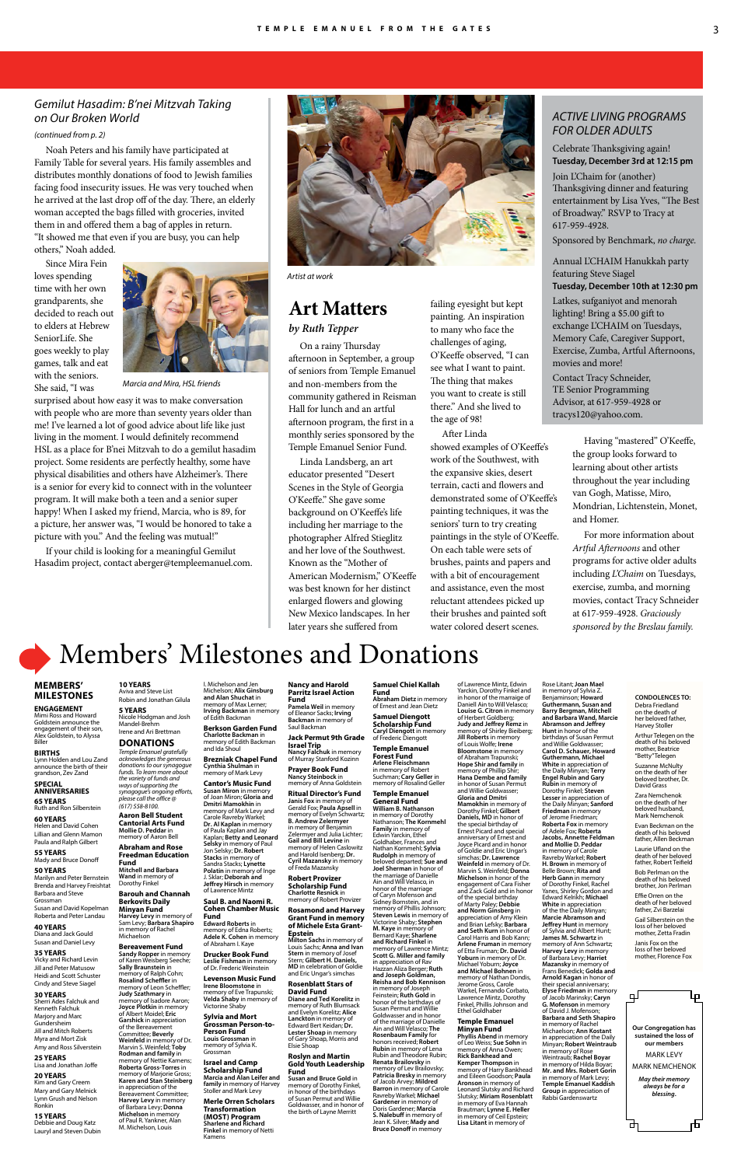# Members' Milestones and Donations

### **MEMBERS' MILESTONES**

**ENGAGEMENT** Mimi Ross and Howard Goldstein announce the engagement of their son, Alex Goldstein, to Alyssa Biller

### **BIRTHS**

Lynn Holden and Lou Zand announce the birth of their grandson, Zev Zand **SPECIAL** 

### **ANNIVERSARIES 65 YEARS** Ruth and Ron Silberstein

**60 YEARS** Helen and David Cohen

Lillian and Glenn Mamon Paula and Ralph Gilbert

### **55 YEARS**

Mady and Bruce Donoff

### **50 YEARS**

Marilyn and Peter Bernstein Brenda and Harvey Freishtat Barbara and Steve Grossman

Susan and David Kopelman Roberta and Peter Landau

### **40 YEARS**

Diana and Jack Gould Susan and Daniel Levy

### **35 YEARS**

Vicky and Richard Levin Jill and Peter Matusow Heidi and Scott Schuster Cindy and Steve Siagel

**30 YEARS** Sherri Ades Falchuk and Kenneth Falchuk Marjory and Marc Gundersheim Jill and Mitch Roberts Myra and Mort Zisk Amy and Ross Silverstein

### **25 YEARS**

Lisa and Jonathan Joffe

### **20 YEARS**

Kim and Gary Creem Mary and Gary Melnick Lynn Grush and Nelson Ronkin

**15 YEARS** Debbie and Doug Katz Lauryl and Steven Dubin

**CONDOLENCES TO:** Debra Friedland on the death of her beloved father, Harvey Stoller

Arthur Telegen on the death of his belove mother, Beatrice "Betty" Telegen

ducatio **Fund Mitchell and Barbara** 

Suzanne McNulty on the death of her beloved brother, Dr. David Grass Zara Nemchenok

on the death of her beloved husband, Mark Nemchenok

Evan Beckman on the death of his beloved father, Allen Beckman Laurie Ufland on the

death of her beloved father, Robert Teifield

Bob Perlman on the death of his beloved brother, Jon Perlman

Effie Orren on the death of her beloved father, Zvi Barzelai

Gail Silberstein on the loss of her beloved mother, Zetta Fradin

Janis Fox on the loss of her beloved mother, Florence Fox



**10 YEARS** Aviva and Steve List

**5 YEARS**

**DONATIONS** *Temple Emanuel gratefully acknowledges the generous donations to our synagogue funds. To learn more about the variety of funds and ways of supporting the synagogue's ongoing efforts, please call the office @*

*(617) 558-8100.* **Aaron Bell Student Cantorial Arts Fund Mollie D. Peddar** in memory of Aaron Bell **Abraham and Rose** 

**Wand** in memory of Dorothy Finkel

### **Barouh and Channah Berkovits Daily Minyan Fund Harvey Levy** in memory of Sam Levy; **Barbara Shapiro**

memory of Anna Goldstein **Ritual Director's Fund Janis Fox** in memory of Gerald Fox; **Paula Apsell** in memory of Evelyn Schwartz; **B. Andrew Zelermyer** in memory of Benjamin Zelermyer and Julia Lichter; **Gail and Bill Levine** in memory of Helen Caslowitz and Harold Isenberg; **Dr. Cyril Mazansky** in memory

### **Bereavement Fund**

### Robin and Jonathan Gilula Nicole Hodgman and Josh Mandel-Brehm Irene and Ari Brettman Michelson; **Alix Ginsburg and Alan Shuchat** in memory of Max Lerner; **Irving Backman** in memory of Edith Backman **Berkson Garden Fund**

**Sandy Ropper** in memory of Karen Weisberg Seeche; **Sally Braunstein** in memory of Ralph Cohn; **Rosalind Scheffler** in memory of Leon Scheffler; **Judy Szathmary** in memory of Isadore Aaron; **Joyce Plotkin** in memory of Albert Moidel; **Eric Garshick** in appreciation of the Bereavement Committee; **Beverly Weinfeld** in memory of Dr. Marvin S. Weinfeld; **Toby Rodman and family** in memory of Nettie Kamens; **Roberta Gross-Torres** in memory of Marjorie Gross; **Temple Emanuel General Fund William B. Nathanson**  in memory of Dorothy Nathanson; **The Kornmehl Family** in memory of Edwin Yarckin, Ethel Goldhaber, Frances and Nathan Kornmehl; **Sylvia Rudolph** in memory

I. Michelson and Jen

in memory of Rachel **Michaelson Edward Roberts** in memory of Edna Roberts; **Adele K. Cohen** in memory of Abraham I. Kaye

**Charlotte Backman** in memory of Edith Backman and Ida Shoul

**Brezniak Chapel Fund Cynthia Shulman** in memory of Mark Levy

**Cantor's Music Fund Susan Miron** in memory of Joan Miron; **Gloria and Dmitri Mamokhin** in memory of Mark Levy and Carole Ravreby Warkel; **Dr. Al Kaplan** in memory of Paula Kaplan and Jay Kaplan; **Betty and Leonard Selsky** in memory of Paul Jon Selsky; **Dr. Robert Stacks** in memory of

**Karen and Stan Steinberg** in appreciation of the Bereavement Committee; **Harvey Levy** in memory of Barbara Levy; **Donna Michelson** in memory of Paul R. Yankner, Alan M. Michelson, Louis **Scholarship Fund Marcia and Alan Leifer and family** in memory of Harvey Stoller and Mark Levy **Merle Orren Scholars Transformation (MOST) Program Sharlene and Richard Finkel** in memory of Netti Kamens

Sandra Stacks; **Lynette** 

**Jeffrey Hirsch** in memory ence Mintz **Saul B. and Naomi R. Cohen Chamber Music** 

**Fund**

**Drucker Book Fund Leslie Fishman** in memory of Dr. Frederic Weinstein **Levenson Music Fund Irene Bloomstone** in memory of Eve Trapunski; **Velda Shaby** in memory of Victorine Shaby **Sylvia and Mort Grossman Person-to-Person Fund Louis Grossman** in memory of Sylvia K. Grossman **Israel and Camp** 

**Polatin** in memory of Inge J. Sklar; **Deborah and**  of Freda Mazansky

**Nancy and Harold Parritz Israel Action Fund Pamela Weil** in memory of Eleanor Sacks; **Irving Backman** in memory of

Saul Backman **Jack Permut 9th Grade** 

**Israel Trip Nancy Falchuk** in memory of Murray Stanford Kozinn **Prayer Book Fund Nancy Steinbock** in

**Robert Provizer Scholarship Fund Charlotte Resnick** in memory of Robert Provizer

### **Rosamond and Harvey Grant Fund in memory of Michele Esta Grant-**

**Epstein Milton Sachs** in memory of Louis Sachs; **Anna and Ivan Stern** in memory of Josef Stern; **Gilbert H. Daniels, MD** in celebration of Goldie and Eric Ungar's simchas

### **Rosenblatt Stars of David Fund**

**Diane and Ted Korelitz** in memory of Ruth Blumsack and Evelyn Korelitz; **Alice Lanckton** in memory of Edward Bert Keidan; **Dr. Lester Shoap** in memory of Gary Shoap, Morris and Elsie Shoap

### **Roslyn and Martin Gold Youth Leadership Fund**

**Susan and Bruce Gold** in memory of Dorothy Finkel, in honor of the birthdays of Susan Permut and Willie Goldwasser, and in honor of the birth of Layne Merritt

### **Samuel Chiel Kallah**

**Fund Abraham Dietz** in memory of Ernest and Jean Dietz **Samuel Diengott Scholarship Fund**

**Caryl Diengott** in memory of Frederic Diengott **Temple Emanuel** 

**Forest Fund Arlene Fleischmann** in memory of Robert Suchman; **Cary Geller** in memory of Rosalind Geller

beloved departed; **Sue and** 

**Joel Sherman** in honor of the marriage of Danielle Ain and Will Velasco, in honor of the marriage of Caryn Mofenson and Sidney Bornstein, and in memory of Phillis Johnson; **Steven Lewis** in memory of Victorine Shaby; **Stephen M. Kaye** in memory of Bernard Kaye; **Sharlene and Richard Finkel in**<br>memory of Lawrence Mintz; memory of Lawrence Mintz; **Scott G. Miller and family** in appreciation of Rav Hazzan Aliza Berger; **Ruth and Joseph Goldman, Reisha and Bob Kennison** in memory of Joseph Feinstein; **Ruth Gold** in honor of the birthdays of Susan Permut and Willie Goldwasser and in honor of the marriage of Danielle Ain and Will Velasco; **The Rosenbaum Family** for honors received; **Robert Rubin** in memory of Lena<br>Rubin and Theodore Rubin; **Renata Brailovsky** in memory of Lev Brailovsky; **Patricia Bresky** in memory of Jacob Arvey; **Mildred Barron** in memory of Carole Ravreby Warkel; **Michael Gardener** in memory of Doris Gardener; **Marcia S. Nalebuff** in memory of Jean K. Silver; **Mady and Bruce Donoff** in memory

of Lawrence Mintz, Edwin Yarckin, Dorothy Finkel and in honor of the marraige of Daniell Ain to Will Velasco; **Louise G. Citron** in memory of Herbert Goldberg; **Judy and Jeffrey Remz** in memory of Shirley Bieiberg; **Jill Roberts** in memory of Louis Wolfe; **Irene Bloomstone** in memory of Abraham Trapunski; **Hope Shir and family** in memory of Phillip Shir; **Hana Dembe and family** in honor of Susan Permut and Willie Goldwasser; **Gloria and Dmitri Mamokhin** in memory of Dorothy Finkel; **Gilbert Daniels, MD** in honor of the special birthday of Ernest Picard and special anniversary of Ernest and Joyce Picard and in honor of Goldie and Eric Ungar's s; **Dr. Lawrence Weinfeld** in memory of Dr. Marvin S. Weinfeld; **Donna Michelson** in honor of the engagement of Cara Fisher and Zack Gold and in honor of the special birthday of Marty Paley; **Debbie and Norm Ginsberg** in appreciation of Amy Klein and Brian Lefsky; **Barbara and Seth Kurn** in honor of Carol Harris and Bob Kann; **Arlene Fruman** in memory of Etta Fruman; **Dr. David Yoburn** in memory of Dr. Michael Yoburn; **Joyce and Michael Bohnen** in memory of Nathan Dondis, Jerome Gross, Carole Warkel, Fernando Corbato, Lawrence Mintz, Dorothy Finkel, Phillis Johnson and Ethel Goldhaber **Temple Emanuel Minyan Fund Phyllis Abend** in memory of Leo Weiss; **Sue Sohn** in memory of Anna Owen; **Rick Bankhead and Kemper Thompson** in memory of Harry Bankhead and Eileen Goodson; **Paula Aronson** in memory of Leonard Slutsky and Richard Slutsky; **Miriam Rosenblatt** in memory of Eva Hannah Brautman; **Lynne E. Heller** 

in memory of Ceil Epstein; **Lisa Litant** in memory of

Rose Litant; **Joan Mael**  in memory of Sylvia Z. Benjaminson; **Howard Guthermann, Susan and Barry Bergman, Mitchell and Barbara Wand, Marcie Abramson and Jeffrey Hunt** in honor of the birthdays of Susan Permut and Willie Goldwasser; **Carol D. Schauer, Howard Guthermann, Michael White** in appreciation of the Daily Minyan; **Terry Engel Rubin and Gary Rubin** in memory of Dorothy Finkel; **Steven Lesser** in appreciation of the Daily Minyan; **Sanford Friedman** in memory of Jerome Friedman; **Roberta Fox** in memory of Adele Fox; **Roberta Jacobs, Annette Feldman and Mollie D. Peddar** in memory of Carole Ravreby Warkel; **Robert H. Brown** in memory of Belle Brown; **Rita and Herb Gann** in memory of Dorothy Finkel, Rachel<br>Yanes, Shirley Gordon and Edward Kelrikh; **Michael White** in appreciation of the the Daily Minyan; **Marcie Abramson and Jeffrey Hunt** in memory of Sylvia and Albert Hunt; **James M. Schwartz** in memory of Ann Schwartz; **Harvey Levy** in memory of Barbara Levy; **Harriet Mazansky** in memory of Frans Benedick; **Golda and Arnold Kagan** in honor of their special anniversary; **Elyse Friedman** in memory of Jacob Marinsky; **Caryn G. Mofenson** in memory of David J. Mofenson; **Barbara and Seth Shapiro** in memory of Rachel Michaelson; **Ann Kostant** in appreciation of the Daily Minyan; **Robert Weintraub** in memory of Rose Weintraub; **Rachel Boyar** in memory of Hilda Boyar; **Mr. and Mrs. Robert Gorin**

in memory of Mark Levy; **Temple Emanuel Kaddish Group** in appreciation of Rabbi Gardenswartz

*Marcia and Mira, HSL friends*

# **Art Matters**

### *by Ruth Tepper*

On a rainy Thursday afternoon in September, a group of seniors from Temple Emanuel and non-members from the community gathered in Reisman Hall for lunch and an artful afternoon program, the first in a monthly series sponsored by the Temple Emanuel Senior Fund.

Linda Landsberg, an art educator presented "Desert Scenes in the Style of Georgia O'Keeffe." She gave some background on O'Keeffe's life including her marriage to the photographer Alfred Stieglitz and her love of the Southwest. Known as the "Mother of American Modernism," O'Keeffe was best known for her distinct enlarged flowers and glowing New Mexico landscapes. In her later years she suffered from

failing eyesight but kept painting. An inspiration to many who face the challenges of aging, O'Keeffe observed, "I can see what I want to paint. The thing that makes you want to create is still there." And she lived to the age of 98!

After Linda showed examples of O'Keeffe's work of the Southwest, with the expansive skies, desert terrain, cacti and flowers and demonstrated some of O'Keeffe's painting techniques, it was the seniors' turn to try creating paintings in the style of O'Keeffe. On each table were sets of brushes, paints and papers and with a bit of encouragement and assistance, even the most reluctant attendees picked up their brushes and painted soft water colored desert scenes.

Having "mastered" O'Keeffe, the group looks forward to learning about other artists throughout the year including van Gogh, Matisse, Miro, Mondrian, Lichtenstein, Monet, and Homer.

For more information about *Artful Afternoons* and other programs for active older adults including *L'Chaim* on Tuesdays, exercise, zumba, and morning movies, contact Tracy Schneider at 617-959-4928. *Graciously sponsored by the Breslau family.*

### *ACTIVE LIVING PROGRAMS FOR OLDER ADULTS*

Celebrate Thanksgiving again! **Tuesday, December 3rd at 12:15 pm**

Join L'Chaim for (another) Thanksgiving dinner and featuring entertainment by Lisa Yves, "The Best of Broadway." RSVP to Tracy at 617-959-4928.

Sponsored by Benchmark, *no charge.*

### Annual L'CHAIM Hanukkah party featuring Steve Siagel **Tuesday, December 10th at 12:30 pm**

Latkes, sufganiyot and menorah lighting! Bring a \$5.00 gift to exchange L'CHAIM on Tuesdays, Memory Cafe, Caregiver Support, Exercise, Zumba, Artful Afternoons, movies and more!

Contact Tracy Schneider, TE Senior Programming Advisor, at 617-959-4928 or tracys120@yahoo.com.

Noah Peters and his family have participated at Family Table for several years. His family assembles and distributes monthly donations of food to Jewish families facing food insecurity issues. He was very touched when he arrived at the last drop off of the day. There, an elderly woman accepted the bags filled with groceries, invited them in and offered them a bag of apples in return. "It showed me that even if you are busy, you can help others," Noah added.

Since Mira Fein loves spending time with her own grandparents, she decided to reach out to elders at Hebrew SeniorLife. She goes weekly to play games, talk and eat with the seniors. She said, "I was



surprised about how easy it was to make conversation with people who are more than seventy years older than me! I've learned a lot of good advice about life like just living in the moment. I would definitely recommend HSL as a place for B'nei Mitzvah to do a gemilut hasadim project. Some residents are perfectly healthy, some have physical disabilities and others have Alzheimer's. There is a senior for every kid to connect with in the volunteer program. It will make both a teen and a senior super happy! When I asked my friend, Marcia, who is 89, for a picture, her answer was, "I would be honored to take a picture with you." And the feeling was mutual!"

If your child is looking for a meaningful Gemilut Hasadim project, contact aberger@templeemanuel.com.

### *Gemilut Hasadim: B'nei Mitzvah Taking on Our Broken World*



*Artist at work*

### *(continued from p. 2)*